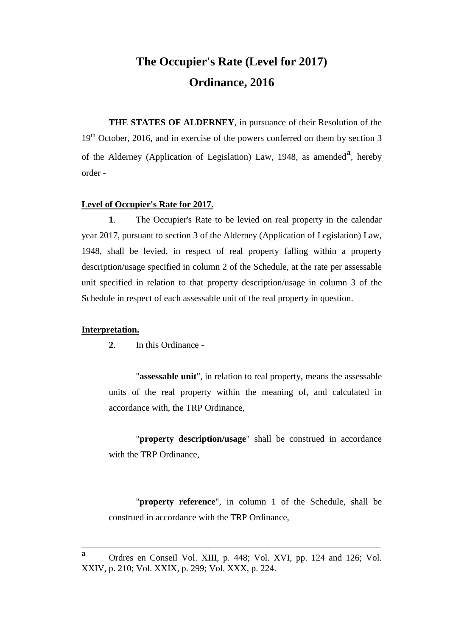# **The Occupier's Rate (Level for 2017) Ordinance, 2016**

**THE STATES OF ALDERNEY**, in pursuance of their Resolution of the 19<sup>th</sup> October, 2016, and in exercise of the powers conferred on them by section 3 of the Alderney (Application of Legislation) Law, 1948, as amended**[a](#page-0-0)** , hereby order -

#### **Level of Occupier's Rate for 2017.**

**1**. The Occupier's Rate to be levied on real property in the calendar year 2017, pursuant to section 3 of the Alderney (Application of Legislation) Law, 1948, shall be levied, in respect of real property falling within a property description/usage specified in column 2 of the Schedule, at the rate per assessable unit specified in relation to that property description/usage in column 3 of the Schedule in respect of each assessable unit of the real property in question.

### **Interpretation.**

**2**. In this Ordinance -

"**assessable unit**", in relation to real property, means the assessable units of the real property within the meaning of, and calculated in accordance with, the TRP Ordinance,

"**property description/usage**" shall be construed in accordance with the TRP Ordinance,

"**property reference**", in column 1 of the Schedule, shall be construed in accordance with the TRP Ordinance,

\_\_\_\_\_\_\_\_\_\_\_\_\_\_\_\_\_\_\_\_\_\_\_\_\_\_\_\_\_\_\_\_\_\_\_\_\_\_\_\_\_\_\_\_\_\_\_\_\_\_\_\_\_\_\_\_\_\_\_\_\_\_\_\_\_\_

<span id="page-0-0"></span>**<sup>a</sup>** Ordres en Conseil Vol. XIII, p. 448; Vol. XVI, pp. 124 and 126; Vol. XXIV, p. 210; Vol. XXIX, p. 299; Vol. XXX, p. 224.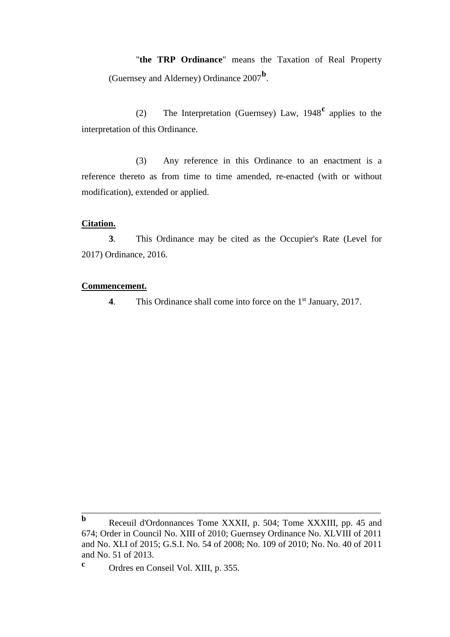"**the TRP Ordinance**" means the Taxation of Real Property (Guernsey and Alderney) Ordinance 2007**[b](#page-1-0)** .

(2) The Interpretation (Guernsey) Law, 1948**[c](#page-1-1)** applies to the interpretation of this Ordinance.

(3) Any reference in this Ordinance to an enactment is a reference thereto as from time to time amended, re-enacted (with or without modification), extended or applied.

#### **Citation.**

**3**. This Ordinance may be cited as the Occupier's Rate (Level for 2017) Ordinance, 2016.

#### **Commencement.**

**4.** This Ordinance shall come into force on the 1<sup>st</sup> January, 2017.

\_\_\_\_\_\_\_\_\_\_\_\_\_\_\_\_\_\_\_\_\_\_\_\_\_\_\_\_\_\_\_\_\_\_\_\_\_\_\_\_\_\_\_\_\_\_\_\_\_\_\_\_\_\_\_\_\_\_\_\_\_\_\_\_\_\_

<span id="page-1-0"></span>**b** Receuil d'Ordonnances Tome XXXII, p. 504; Tome XXXIII, pp. 45 and 674; Order in Council No. XIII of 2010; Guernsey Ordinance No. XLVIII of 2011 and No. XLI of 2015; G.S.I. No. 54 of 2008; No. 109 of 2010; No. No. 40 of 2011 and No. 51 of 2013.

<span id="page-1-1"></span>**<sup>c</sup>** Ordres en Conseil Vol. XIII, p. 355.